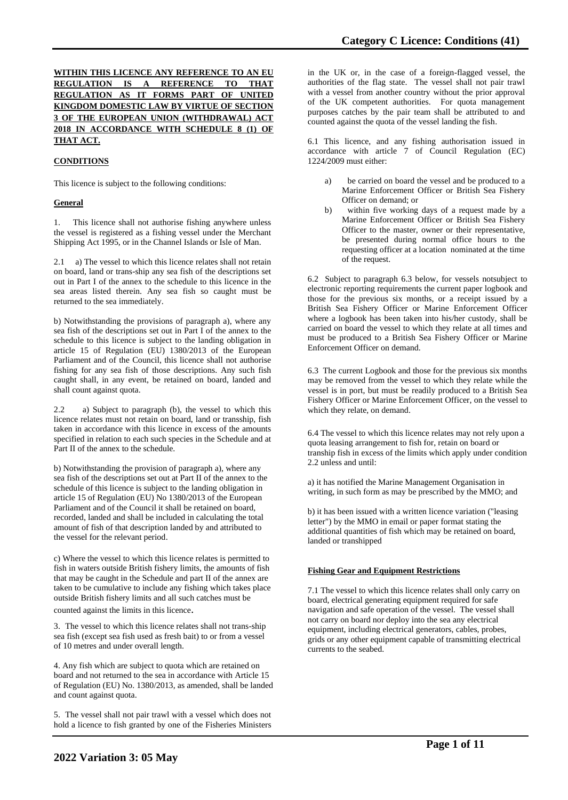## **WITHIN THIS LICENCE ANY REFERENCE TO AN EU REGULATION IS A REFERENCE TO THAT REGULATION AS IT FORMS PART OF UNITED KINGDOM DOMESTIC LAW BY VIRTUE OF SECTION 3 OF THE EUROPEAN UNION (WITHDRAWAL) ACT 2018 IN ACCORDANCE WITH SCHEDULE 8 (1) OF THAT ACT.**

## **CONDITIONS**

This licence is subject to the following conditions:

## **General**

1. This licence shall not authorise fishing anywhere unless the vessel is registered as a fishing vessel under the Merchant Shipping Act 1995, or in the Channel Islands or Isle of Man.

2.1 a) The vessel to which this licence relates shall not retain on board, land or trans-ship any sea fish of the descriptions set out in Part I of the annex to the schedule to this licence in the sea areas listed therein. Any sea fish so caught must be returned to the sea immediately.

b) Notwithstanding the provisions of paragraph a), where any sea fish of the descriptions set out in Part I of the annex to the schedule to this licence is subject to the landing obligation in article 15 of Regulation (EU) 1380/2013 of the European Parliament and of the Council, this licence shall not authorise fishing for any sea fish of those descriptions. Any such fish caught shall, in any event, be retained on board, landed and shall count against quota.

2.2 a) Subject to paragraph (b), the vessel to which this licence relates must not retain on board, land or transship, fish taken in accordance with this licence in excess of the amounts specified in relation to each such species in the Schedule and at Part II of the annex to the schedule.

b) Notwithstanding the provision of paragraph a), where any sea fish of the descriptions set out at Part II of the annex to the schedule of this licence is subject to the landing obligation in article 15 of Regulation (EU) No 1380/2013 of the European Parliament and of the Council it shall be retained on board, recorded, landed and shall be included in calculating the total amount of fish of that description landed by and attributed to the vessel for the relevant period.

c) Where the vessel to which this licence relates is permitted to fish in waters outside British fishery limits, the amounts of fish that may be caught in the Schedule and part II of the annex are taken to be cumulative to include any fishing which takes place outside British fishery limits and all such catches must be counted against the limits in this licence.

3. The vessel to which this licence relates shall not trans-ship sea fish (except sea fish used as fresh bait) to or from a vessel of 10 metres and under overall length.

4. Any fish which are subject to quota which are retained on board and not returned to the sea in accordance with Article 15 of Regulation (EU) No. 1380/2013, as amended, shall be landed and count against quota.

5. The vessel shall not pair trawl with a vessel which does not hold a licence to fish granted by one of the Fisheries Ministers

in the UK or, in the case of a foreign-flagged vessel, the authorities of the flag state. The vessel shall not pair trawl with a vessel from another country without the prior approval of the UK competent authorities. For quota management purposes catches by the pair team shall be attributed to and counted against the quota of the vessel landing the fish.

6.1 This licence, and any fishing authorisation issued in accordance with article 7 of Council Regulation (EC) 1224/2009 must either:

- a) be carried on board the vessel and be produced to a Marine Enforcement Officer or British Sea Fishery Officer on demand; or
- b) within five working days of a request made by a Marine Enforcement Officer or British Sea Fishery Officer to the master, owner or their representative, be presented during normal office hours to the requesting officer at a location nominated at the time of the request.

6.2 Subject to paragraph 6.3 below, for vessels notsubject to electronic reporting requirements the current paper logbook and those for the previous six months, or a receipt issued by a British Sea Fishery Officer or Marine Enforcement Officer where a logbook has been taken into his/her custody, shall be carried on board the vessel to which they relate at all times and must be produced to a British Sea Fishery Officer or Marine Enforcement Officer on demand.

6.3 The current Logbook and those for the previous six months may be removed from the vessel to which they relate while the vessel is in port, but must be readily produced to a British Sea Fishery Officer or Marine Enforcement Officer, on the vessel to which they relate, on demand.

6.4 The vessel to which this licence relates may not rely upon a quota leasing arrangement to fish for, retain on board or tranship fish in excess of the limits which apply under condition 2.2 unless and until:

a) it has notified the Marine Management Organisation in writing, in such form as may be prescribed by the MMO; and

b) it has been issued with a written licence variation ("leasing letter") by the MMO in email or paper format stating the additional quantities of fish which may be retained on board, landed or transhipped

#### **Fishing Gear and Equipment Restrictions**

7.1 The vessel to which this licence relates shall only carry on board, electrical generating equipment required for safe navigation and safe operation of the vessel. The vessel shall not carry on board nor deploy into the sea any electrical equipment, including electrical generators, cables, probes, grids or any other equipment capable of transmitting electrical currents to the seabed.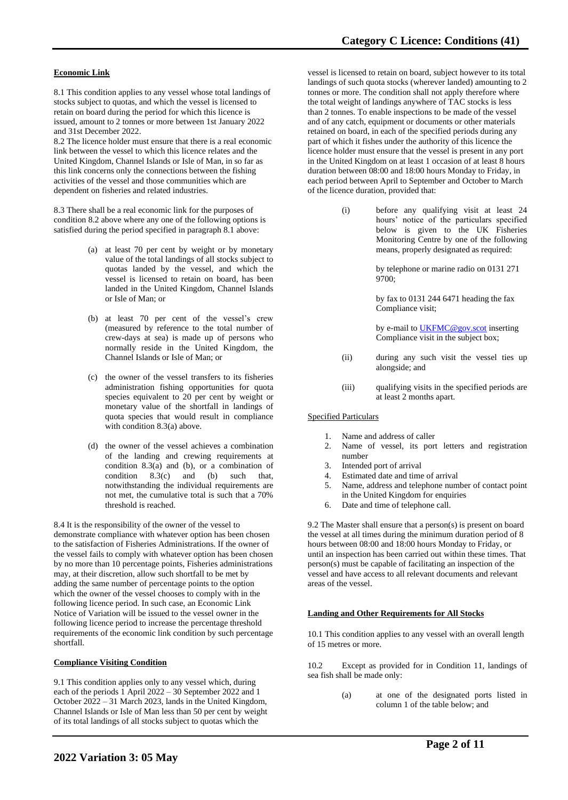## **Economic Link**

8.1 This condition applies to any vessel whose total landings of stocks subject to quotas, and which the vessel is licensed to retain on board during the period for which this licence is issued, amount to 2 tonnes or more between 1st January 2022 and 31st December 2022.

8.2 The licence holder must ensure that there is a real economic link between the vessel to which this licence relates and the United Kingdom, Channel Islands or Isle of Man, in so far as this link concerns only the connections between the fishing activities of the vessel and those communities which are dependent on fisheries and related industries.

8.3 There shall be a real economic link for the purposes of condition 8.2 above where any one of the following options is satisfied during the period specified in paragraph 8.1 above:

- (a) at least 70 per cent by weight or by monetary value of the total landings of all stocks subject to quotas landed by the vessel, and which the vessel is licensed to retain on board, has been landed in the United Kingdom, Channel Islands or Isle of Man; or
- (b) at least 70 per cent of the vessel's crew (measured by reference to the total number of crew-days at sea) is made up of persons who normally reside in the United Kingdom, the Channel Islands or Isle of Man; or
- (c) the owner of the vessel transfers to its fisheries administration fishing opportunities for quota species equivalent to 20 per cent by weight or monetary value of the shortfall in landings of quota species that would result in compliance with condition 8.3(a) above.
- (d) the owner of the vessel achieves a combination of the landing and crewing requirements at condition 8.3(a) and (b), or a combination of condition  $8.3(c)$  and (b) such that  $8.3(c)$  and (b) such that, notwithstanding the individual requirements are not met, the cumulative total is such that a 70% threshold is reached.

8.4 It is the responsibility of the owner of the vessel to demonstrate compliance with whatever option has been chosen to the satisfaction of Fisheries Administrations. If the owner of the vessel fails to comply with whatever option has been chosen by no more than 10 percentage points, Fisheries administrations may, at their discretion, allow such shortfall to be met by adding the same number of percentage points to the option which the owner of the vessel chooses to comply with in the following licence period. In such case, an Economic Link Notice of Variation will be issued to the vessel owner in the following licence period to increase the percentage threshold requirements of the economic link condition by such percentage shortfall.

#### **Compliance Visiting Condition**

9.1 This condition applies only to any vessel which, during each of the periods 1 April 2022 – 30 September 2022 and 1 October 2022 – 31 March 2023, lands in the United Kingdom, Channel Islands or Isle of Man less than 50 per cent by weight of its total landings of all stocks subject to quotas which the

vessel is licensed to retain on board, subject however to its total landings of such quota stocks (wherever landed) amounting to 2 tonnes or more. The condition shall not apply therefore where the total weight of landings anywhere of TAC stocks is less than 2 tonnes. To enable inspections to be made of the vessel and of any catch, equipment or documents or other materials retained on board, in each of the specified periods during any part of which it fishes under the authority of this licence the licence holder must ensure that the vessel is present in any port in the United Kingdom on at least 1 occasion of at least 8 hours duration between 08:00 and 18:00 hours Monday to Friday, in each period between April to September and October to March of the licence duration, provided that:

> (i) before any qualifying visit at least 24 hours' notice of the particulars specified below is given to the UK Fisheries Monitoring Centre by one of the following means, properly designated as required:

> > by telephone or marine radio on 0131 271 9700;

by fax to 0131 244 6471 heading the fax Compliance visit;

by e-mail t[o UKFMC@gov.scot](mailto:UKFMC@gov.scot) inserting Compliance visit in the subject box;

- (ii) during any such visit the vessel ties up alongside; and
- (iii) qualifying visits in the specified periods are at least 2 months apart.

#### Specified Particulars

- 1. Name and address of caller
- 2. Name of vessel, its port letters and registration number
- 
- 3. Intended port of arrival Estimated date and time of arrival
- 5. Name, address and telephone number of contact point in the United Kingdom for enquiries
- 6. Date and time of telephone call.

9.2 The Master shall ensure that a person(s) is present on board the vessel at all times during the minimum duration period of 8 hours between 08:00 and 18:00 hours Monday to Friday, or until an inspection has been carried out within these times. That person(s) must be capable of facilitating an inspection of the vessel and have access to all relevant documents and relevant areas of the vessel.

#### **Landing and Other Requirements for All Stocks**

10.1 This condition applies to any vessel with an overall length of 15 metres or more.

10.2 Except as provided for in Condition 11, landings of sea fish shall be made only:

> (a) at one of the designated ports listed in column 1 of the table below; and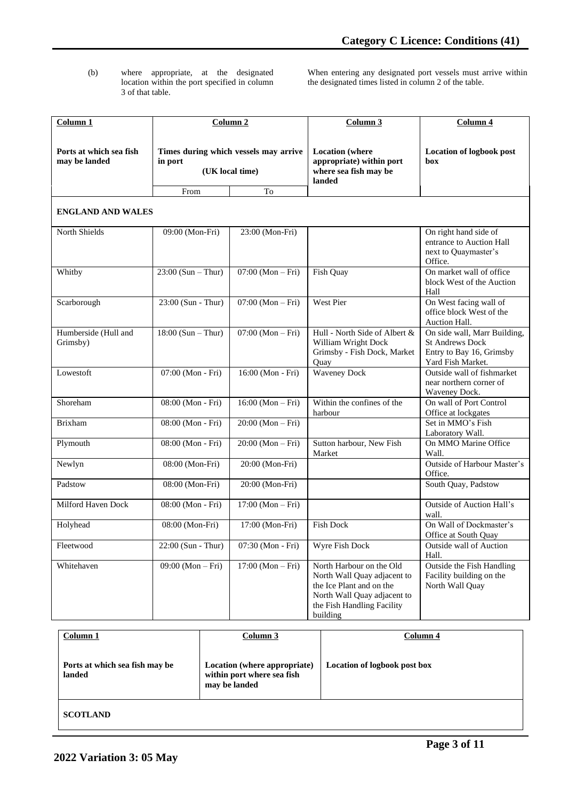(b) where appropriate, at the designated location within the port specified in column 3 of that table.

When entering any designated port vessels must arrive within the designated times listed in column 2 of the table.

| Column <sub>1</sub>                      |                                                                     | Column <sub>2</sub> | Column 3                                                                                                                                                     | Column 4                                                                                                |
|------------------------------------------|---------------------------------------------------------------------|---------------------|--------------------------------------------------------------------------------------------------------------------------------------------------------------|---------------------------------------------------------------------------------------------------------|
| Ports at which sea fish<br>may be landed | Times during which vessels may arrive<br>in port<br>(UK local time) |                     | <b>Location</b> (where<br>appropriate) within port<br>where sea fish may be<br>landed                                                                        | <b>Location of logbook post</b><br>box                                                                  |
| <b>ENGLAND AND WALES</b>                 | From                                                                | To                  |                                                                                                                                                              |                                                                                                         |
| North Shields                            | 09:00 (Mon-Fri)                                                     | 23:00 (Mon-Fri)     |                                                                                                                                                              | On right hand side of<br>entrance to Auction Hall<br>next to Quaymaster's<br>Office.                    |
| Whitby                                   | $23:00$ (Sun – Thur)                                                | $07:00 (Mon-Fri)$   | Fish Quay                                                                                                                                                    | On market wall of office<br>block West of the Auction<br>Hall                                           |
| Scarborough                              | 23:00 (Sun - Thur)                                                  | $07:00 (Mon-Fri)$   | West Pier                                                                                                                                                    | On West facing wall of<br>office block West of the<br>Auction Hall.                                     |
| Humberside (Hull and<br>Grimsby)         | $18:00$ (Sun - Thur)                                                | $07:00 (Mon-Fri)$   | Hull - North Side of Albert &<br>William Wright Dock<br>Grimsby - Fish Dock, Market<br>Quay                                                                  | On side wall, Marr Building,<br><b>St Andrews Dock</b><br>Entry to Bay 16, Grimsby<br>Yard Fish Market. |
| Lowestoft                                | 07:00 (Mon - Fri)                                                   | 16:00 (Mon - Fri)   | <b>Waveney Dock</b>                                                                                                                                          | Outside wall of fishmarket<br>near northern corner of<br>Waveney Dock.                                  |
| Shoreham                                 | 08:00 (Mon - Fri)                                                   | $16:00 (Mon-Fri)$   | Within the confines of the<br>harbour                                                                                                                        | On wall of Port Control<br>Office at lockgates                                                          |
| <b>Brixham</b>                           | 08:00 (Mon - Fri)                                                   | $20:00 (Mon-Fri)$   |                                                                                                                                                              | Set in MMO's Fish<br>Laboratory Wall.                                                                   |
| Plymouth                                 | 08:00 (Mon - Fri)                                                   | $20:00 (Mon-Fri)$   | Sutton harbour, New Fish<br>Market                                                                                                                           | On MMO Marine Office<br>Wall.                                                                           |
| Newlyn                                   | 08:00 (Mon-Fri)                                                     | 20:00 (Mon-Fri)     |                                                                                                                                                              | Outside of Harbour Master's<br>Office.                                                                  |
| Padstow                                  | 08:00 (Mon-Fri)                                                     | 20:00 (Mon-Fri)     |                                                                                                                                                              | South Quay, Padstow                                                                                     |
| <b>Milford Haven Dock</b>                | 08:00 (Mon - Fri)                                                   | $17:00 (Mon-Fri)$   |                                                                                                                                                              | Outside of Auction Hall's<br>wall.                                                                      |
| Holyhead                                 | 08:00 (Mon-Fri)                                                     | 17:00 (Mon-Fri)     | <b>Fish Dock</b>                                                                                                                                             | On Wall of Dockmaster's<br>Office at South Quay                                                         |
| Fleetwood                                | 22:00 (Sun - Thur)                                                  | 07:30 (Mon - Fri)   | Wyre Fish Dock                                                                                                                                               | Outside wall of Auction<br>Hall.                                                                        |
| Whitehaven                               | $09:00 (Mon-Fri)$                                                   | $17:00 (Mon-Fri)$   | North Harbour on the Old<br>North Wall Quay adjacent to<br>the Ice Plant and on the<br>North Wall Quay adjacent to<br>the Fish Handling Facility<br>building | Outside the Fish Handling<br>Facility building on the<br>North Wall Quay                                |

| Column 1                                 | Column 3                                                                    | Column 4                     |
|------------------------------------------|-----------------------------------------------------------------------------|------------------------------|
| Ports at which sea fish may be<br>landed | Location (where appropriate)<br>within port where sea fish<br>may be landed | Location of logbook post box |
| <b>SCOTLAND</b>                          |                                                                             |                              |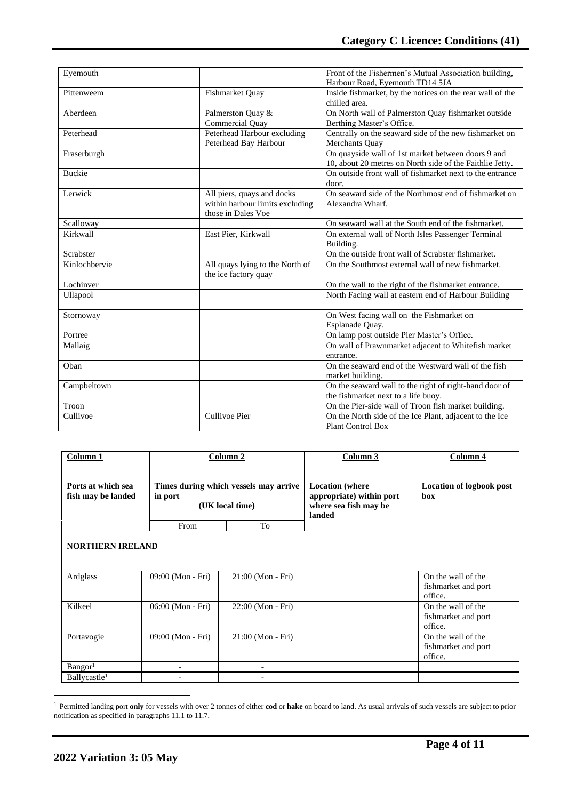| Eyemouth      |                                                                                     | Front of the Fishermen's Mutual Association building,<br>Harbour Road, Eyemouth TD14 5JA                       |  |
|---------------|-------------------------------------------------------------------------------------|----------------------------------------------------------------------------------------------------------------|--|
| Pittenweem    | Fishmarket Quay                                                                     | Inside fishmarket, by the notices on the rear wall of the<br>chilled area.                                     |  |
| Aberdeen      | Palmerston Quay &<br><b>Commercial Ouay</b>                                         | On North wall of Palmerston Quay fishmarket outside<br>Berthing Master's Office.                               |  |
| Peterhead     | Peterhead Harbour excluding<br>Peterhead Bay Harbour                                | Centrally on the seaward side of the new fishmarket on<br>Merchants Ouay                                       |  |
| Fraserburgh   |                                                                                     | On quayside wall of 1st market between doors 9 and<br>10, about 20 metres on North side of the Faithlie Jetty. |  |
| <b>Buckie</b> |                                                                                     | On outside front wall of fishmarket next to the entrance<br>door.                                              |  |
| Lerwick       | All piers, quays and docks<br>within harbour limits excluding<br>those in Dales Voe | On seaward side of the Northmost end of fishmarket on<br>Alexandra Wharf.                                      |  |
| Scalloway     |                                                                                     | On seaward wall at the South end of the fishmarket.                                                            |  |
| Kirkwall      | East Pier, Kirkwall                                                                 | On external wall of North Isles Passenger Terminal<br>Building.                                                |  |
| Scrabster     |                                                                                     | On the outside front wall of Scrabster fishmarket.                                                             |  |
| Kinlochbervie | All quays lying to the North of<br>the ice factory quay                             | On the Southmost external wall of new fishmarket.                                                              |  |
| Lochinver     |                                                                                     | On the wall to the right of the fishmarket entrance.                                                           |  |
| Ullapool      |                                                                                     | North Facing wall at eastern end of Harbour Building                                                           |  |
| Stornoway     |                                                                                     | On West facing wall on the Fishmarket on<br>Esplanade Quay.                                                    |  |
| Portree       |                                                                                     | On lamp post outside Pier Master's Office.                                                                     |  |
| Mallaig       |                                                                                     | On wall of Prawnmarket adjacent to Whitefish market<br>entrance.                                               |  |
| Oban          |                                                                                     | On the seaward end of the Westward wall of the fish<br>market building.                                        |  |
| Campbeltown   |                                                                                     | On the seaward wall to the right of right-hand door of<br>the fishmarket next to a life buoy.                  |  |
| Troon         |                                                                                     | On the Pier-side wall of Troon fish market building.                                                           |  |
| Cullivoe      | Cullivoe Pier                                                                       | On the North side of the Ice Plant, adjacent to the Ice<br><b>Plant Control Box</b>                            |  |

| Column <sub>1</sub>                      |                                                                     | Column 2            | Column 3                                                                              | Column 4                                             |
|------------------------------------------|---------------------------------------------------------------------|---------------------|---------------------------------------------------------------------------------------|------------------------------------------------------|
| Ports at which sea<br>fish may be landed | Times during which vessels may arrive<br>in port<br>(UK local time) |                     | <b>Location</b> (where<br>appropriate) within port<br>where sea fish may be<br>landed | <b>Location of logbook post</b><br>hox               |
|                                          | From                                                                | To                  |                                                                                       |                                                      |
| <b>NORTHERN IRELAND</b>                  |                                                                     |                     |                                                                                       |                                                      |
| Ardglass                                 | 09:00 (Mon - Fri)                                                   | 21:00 (Mon - Fri)   |                                                                                       | On the wall of the<br>fishmarket and port<br>office. |
| Kilkeel                                  | 06:00 (Mon - Fri)                                                   | $22:00$ (Mon - Fri) |                                                                                       | On the wall of the<br>fishmarket and port<br>office. |
| Portavogie                               | 09:00 (Mon - Fri)                                                   | 21:00 (Mon - Fri)   |                                                                                       | On the wall of the<br>fishmarket and port<br>office. |
| Bangor <sup>1</sup>                      |                                                                     |                     |                                                                                       |                                                      |
| Ballycastle <sup>1</sup>                 |                                                                     |                     |                                                                                       |                                                      |

<sup>&</sup>lt;sup>1</sup> Permitted landing port **only** for vessels with over 2 tonnes of either **cod** or **hake** on board to land. As usual arrivals of such vessels are subject to prior notification as specified in paragraphs 11.1 to 11.7.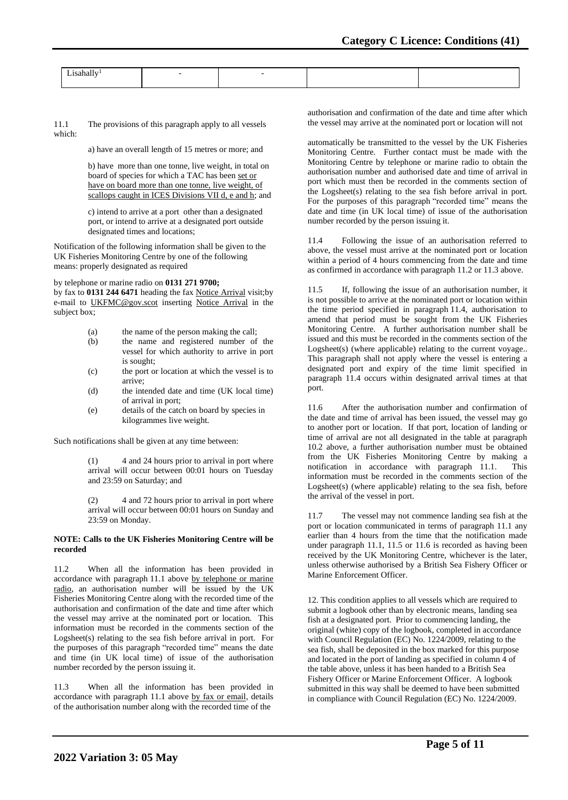11.1 The provisions of this paragraph apply to all vessels which:

a) have an overall length of 15 metres or more; and

b) have more than one tonne, live weight, in total on board of species for which a TAC has been set or have on board more than one tonne, live weight, of scallops caught in ICES Divisions VII d, e and h; and

c) intend to arrive at a port other than a designated port, or intend to arrive at a designated port outside designated times and locations;

Notification of the following information shall be given to the UK Fisheries Monitoring Centre by one of the following means: properly designated as required

#### by telephone or marine radio on **0131 271 9700;**

by fax to **0131 244 6471** heading the fax Notice Arrival visit;by e-mail to [UKFMC@gov.scot](mailto:UKFCC@scotland.gsi.gov.uk) inserting Notice Arrival in the subject box;

- (a) the name of the person making the call;
- (b) the name and registered number of the vessel for which authority to arrive in port is sought;
- (c) the port or location at which the vessel is to arrive;
- (d) the intended date and time (UK local time) of arrival in port;
- (e) details of the catch on board by species in kilogrammes live weight.

Such notifications shall be given at any time between:

(1) 4 and 24 hours prior to arrival in port where arrival will occur between 00:01 hours on Tuesday and 23:59 on Saturday; and

(2) 4 and 72 hours prior to arrival in port where arrival will occur between 00:01 hours on Sunday and 23:59 on Monday.

#### **NOTE: Calls to the UK Fisheries Monitoring Centre will be recorded**

11.2 When all the information has been provided in accordance with paragraph 11.1 above by telephone or marine radio, an authorisation number will be issued by the UK Fisheries Monitoring Centre along with the recorded time of the authorisation and confirmation of the date and time after which the vessel may arrive at the nominated port or location. This information must be recorded in the comments section of the Logsheet(s) relating to the sea fish before arrival in port. For the purposes of this paragraph "recorded time" means the date and time (in UK local time) of issue of the authorisation number recorded by the person issuing it.

11.3 When all the information has been provided in accordance with paragraph 11.1 above by fax or email, details of the authorisation number along with the recorded time of the

authorisation and confirmation of the date and time after which the vessel may arrive at the nominated port or location will not

automatically be transmitted to the vessel by the UK Fisheries Monitoring Centre. Further contact must be made with the Monitoring Centre by telephone or marine radio to obtain the authorisation number and authorised date and time of arrival in port which must then be recorded in the comments section of the Logsheet(s) relating to the sea fish before arrival in port. For the purposes of this paragraph "recorded time" means the date and time (in UK local time) of issue of the authorisation number recorded by the person issuing it.

11.4 Following the issue of an authorisation referred to above, the vessel must arrive at the nominated port or location within a period of 4 hours commencing from the date and time as confirmed in accordance with paragraph 11.2 or 11.3 above.

11.5 If, following the issue of an authorisation number, it is not possible to arrive at the nominated port or location within the time period specified in paragraph 11.4, authorisation to amend that period must be sought from the UK Fisheries Monitoring Centre. A further authorisation number shall be issued and this must be recorded in the comments section of the Logsheet(s) (where applicable) relating to the current voyage.. This paragraph shall not apply where the vessel is entering a designated port and expiry of the time limit specified in paragraph 11.4 occurs within designated arrival times at that port.

11.6 After the authorisation number and confirmation of the date and time of arrival has been issued, the vessel may go to another port or location. If that port, location of landing or time of arrival are not all designated in the table at paragraph 10.2 above, a further authorisation number must be obtained from the UK Fisheries Monitoring Centre by making a notification in accordance with paragraph 11.1. This information must be recorded in the comments section of the Logsheet(s) (where applicable) relating to the sea fish, before the arrival of the vessel in port.

11.7 The vessel may not commence landing sea fish at the port or location communicated in terms of paragraph 11.1 any earlier than 4 hours from the time that the notification made under paragraph 11.1, 11.5 or 11.6 is recorded as having been received by the UK Monitoring Centre, whichever is the later, unless otherwise authorised by a British Sea Fishery Officer or Marine Enforcement Officer.

12. This condition applies to all vessels which are required to submit a logbook other than by electronic means, landing sea fish at a designated port. Prior to commencing landing, the original (white) copy of the logbook, completed in accordance with Council Regulation (EC) No. 1224/2009, relating to the sea fish, shall be deposited in the box marked for this purpose and located in the port of landing as specified in column 4 of the table above, unless it has been handed to a British Sea Fishery Officer or Marine Enforcement Officer. A logbook submitted in this way shall be deemed to have been submitted in compliance with Council Regulation (EC) No. 1224/2009.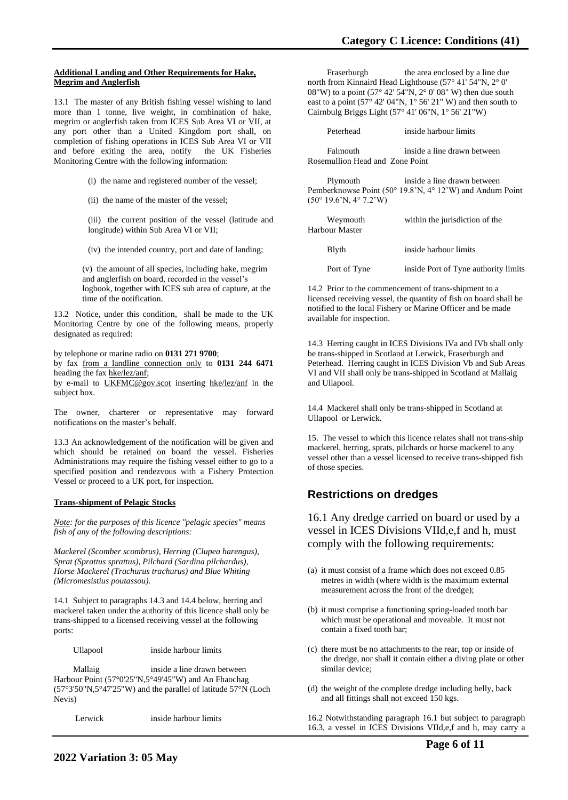#### **Additional Landing and Other Requirements for Hake, Megrim and Anglerfish**

13.1 The master of any British fishing vessel wishing to land more than 1 tonne, live weight, in combination of hake, megrim or anglerfish taken from ICES Sub Area VI or VII, at any port other than a United Kingdom port shall, on completion of fishing operations in ICES Sub Area VI or VII and before exiting the area, notify the UK Fisheries Monitoring Centre with the following information:

(i) the name and registered number of the vessel;

(ii) the name of the master of the vessel;

(iii) the current position of the vessel (latitude and longitude) within Sub Area VI or VII;

(iv) the intended country, port and date of landing;

(v) the amount of all species, including hake, megrim and anglerfish on board, recorded in the vessel's logbook, together with ICES sub area of capture, at the time of the notification.

13.2 Notice, under this condition, shall be made to the UK Monitoring Centre by one of the following means, properly designated as required:

by telephone or marine radio on **0131 271 9700**;

by fax from a landline connection only to **0131 244 6471** heading the fax hke/lez/anf;

by e-mail to UKFMC@gov.scot inserting hke/lez/anf in the subject box.

The owner, charterer or representative may forward notifications on the master's behalf.

13.3 An acknowledgement of the notification will be given and which should be retained on board the vessel. Fisheries Administrations may require the fishing vessel either to go to a specified position and rendezvous with a Fishery Protection Vessel or proceed to a UK port, for inspection.

#### **Trans-shipment of Pelagic Stocks**

*Note: for the purposes of this licence "pelagic species" means fish of any of the following descriptions:* 

*Mackerel (Scomber scombrus), Herring (Clupea harengus), Sprat (Sprattus sprattus), Pilchard (Sardina pilchardus), Horse Mackerel (Trachurus trachurus) and Blue Whiting (Micromesistius poutassou).*

14.1 Subject to paragraphs 14.3 and 14.4 below, herring and mackerel taken under the authority of this licence shall only be trans-shipped to a licensed receiving vessel at the following ports:

Ullapool inside harbour limits

 Mallaig inside a line drawn between Harbour Point (57°0'25"N,5°49'45"W) and An Fhaochag (57°3'50"N,5°47'25"W) and the parallel of latitude 57°N (Loch Nevis)

Lerwick inside harbour limits

Fraserburgh the area enclosed by a line due north from Kinnaird Head Lighthouse (57° 41' 54"N, 2° 0' 08"W) to a point (57 $^{\circ}$  42' 54"N, 2 $^{\circ}$  0' 08" W) then due south east to a point (57 $\degree$  42' 04"N, 1 $\degree$  56' 21" W) and then south to Cairnbulg Briggs Light (57° 41' 06"N, 1° 56' 21"W)

| Peterhead                                                        | inside harbour limits                                                                    |
|------------------------------------------------------------------|------------------------------------------------------------------------------------------|
| Falmouth<br>Rosemullion Head and Zone Point                      | inside a line drawn between                                                              |
| Plymouth<br>$(50^{\circ} 19.6^{\circ}N, 4^{\circ} 7.2^{\circ}W)$ | inside a line drawn between<br>Pemberknowse Point (50° 19.8'N, 4° 12'W) and Andurn Point |

| Weymouth<br>Harbour Master | within the jurisdiction of the       |  |  |
|----------------------------|--------------------------------------|--|--|
| Blyth                      | inside harbour limits                |  |  |
| Port of Tyne               | inside Port of Tyne authority limits |  |  |

14.2 Prior to the commencement of trans-shipment to a licensed receiving vessel, the quantity of fish on board shall be notified to the local Fishery or Marine Officer and be made available for inspection.

14.3 Herring caught in ICES Divisions IVa and IVb shall only be trans-shipped in Scotland at Lerwick, Fraserburgh and Peterhead. Herring caught in ICES Division Vb and Sub Areas VI and VII shall only be trans-shipped in Scotland at Mallaig and Ullapool.

14.4 Mackerel shall only be trans-shipped in Scotland at Ullapool or Lerwick.

15. The vessel to which this licence relates shall not trans-ship mackerel, herring, sprats, pilchards or horse mackerel to any vessel other than a vessel licensed to receive trans-shipped fish of those species.

# **Restrictions on dredges**

16.1 Any dredge carried on board or used by a vessel in ICES Divisions VIId,e,f and h, must comply with the following requirements:

- (a) it must consist of a frame which does not exceed 0.85 metres in width (where width is the maximum external measurement across the front of the dredge);
- (b) it must comprise a functioning spring-loaded tooth bar which must be operational and moveable. It must not contain a fixed tooth bar;
- (c) there must be no attachments to the rear, top or inside of the dredge, nor shall it contain either a diving plate or other similar device;
- (d) the weight of the complete dredge including belly, back and all fittings shall not exceed 150 kgs.

16.2 Notwithstanding paragraph 16.1 but subject to paragraph 16.3, a vessel in ICES Divisions VIId,e,f and h, may carry a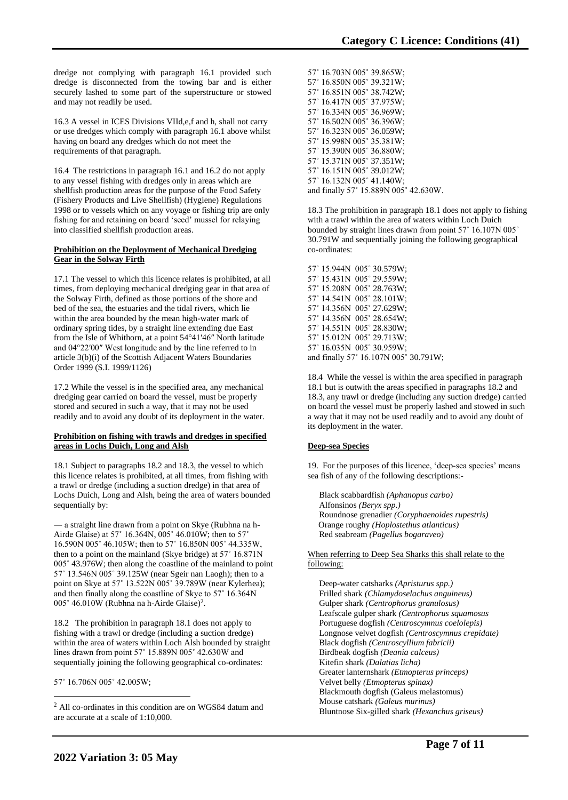dredge not complying with paragraph 16.1 provided such dredge is disconnected from the towing bar and is either securely lashed to some part of the superstructure or stowed and may not readily be used.

16.3 A vessel in ICES Divisions VIId,e,f and h, shall not carry or use dredges which comply with paragraph 16.1 above whilst having on board any dredges which do not meet the requirements of that paragraph.

16.4 The restrictions in paragraph 16.1 and 16.2 do not apply to any vessel fishing with dredges only in areas which are shellfish production areas for the purpose of the Food Safety (Fishery Products and Live Shellfish) (Hygiene) Regulations 1998 or to vessels which on any voyage or fishing trip are only fishing for and retaining on board 'seed' mussel for relaying into classified shellfish production areas.

## **Prohibition on the Deployment of Mechanical Dredging Gear in the Solway Firth**

17.1 The vessel to which this licence relates is prohibited, at all times, from deploying mechanical dredging gear in that area of the Solway Firth, defined as those portions of the shore and bed of the sea, the estuaries and the tidal rivers, which lie within the area bounded by the mean high-water mark of ordinary spring tides, by a straight line extending due East from the Isle of Whithorn, at a point 54°41′46″ North latitude and 04°22′00″ West longitude and by the line referred to in article 3(b)(i) of the Scottish Adjacent Waters Boundaries Order 1999 (S.I. 1999/1126)

17.2 While the vessel is in the specified area, any mechanical dredging gear carried on board the vessel, must be properly stored and secured in such a way, that it may not be used readily and to avoid any doubt of its deployment in the water.

#### **Prohibition on fishing with trawls and dredges in specified areas in Lochs Duich, Long and Alsh**

18.1 Subject to paragraphs 18.2 and 18.3, the vessel to which this licence relates is prohibited, at all times, from fishing with a trawl or dredge (including a suction dredge) in that area of Lochs Duich, Long and Alsh, being the area of waters bounded sequentially by:

― a straight line drawn from a point on Skye (Rubhna na h-Airde Glaise) at 57˚ 16.364N, 005˚ 46.010W; then to 57˚ 16.590N 005˚ 46.105W; then to 57˚ 16.850N 005˚ 44.335W, then to a point on the mainland (Skye bridge) at 57˚ 16.871N 005˚ 43.976W; then along the coastline of the mainland to point 57˚ 13.546N 005˚ 39.125W (near Sgeir nan Laogh); then to a point on Skye at 57˚ 13.522N 005˚ 39.789W (near Kylerhea); and then finally along the coastline of Skye to 57˚ 16.364N 005° 46.010W (Rubhna na h-Airde Glaise)<sup>2</sup>.

18.2 The prohibition in paragraph 18.1 does not apply to fishing with a trawl or dredge (including a suction dredge) within the area of waters within Loch Alsh bounded by straight lines drawn from point 57˚ 15.889N 005˚ 42.630W and sequentially joining the following geographical co-ordinates:

57˚ 16.706N 005˚ 42.005W;

57˚ 16.703N 005˚ 39.865W; 57˚ 16.850N 005˚ 39.321W; 57˚ 16.851N 005˚ 38.742W; 57˚ 16.417N 005˚ 37.975W; 57˚ 16.334N 005˚ 36.969W; 57˚ 16.502N 005˚ 36.396W; 57˚ 16.323N 005˚ 36.059W; 57˚ 15.998N 005˚ 35.381W; 57˚ 15.390N 005˚ 36.880W; 57˚ 15.371N 005˚ 37.351W; 57˚ 16.151N 005˚ 39.012W; 57˚ 16.132N 005˚ 41.140W; and finally 57˚ 15.889N 005˚ 42.630W.

18.3 The prohibition in paragraph 18.1 does not apply to fishing with a trawl within the area of waters within Loch Duich bounded by straight lines drawn from point 57˚ 16.107N 005˚ 30.791W and sequentially joining the following geographical co-ordinates:

57˚ 15.944N 005˚ 30.579W; 57˚ 15.431N 005˚ 29.559W; 57˚ 15.208N 005˚ 28.763W; 57˚ 14.541N 005˚ 28.101W; 57˚ 14.356N 005˚ 27.629W; 57˚ 14.356N 005˚ 28.654W; 57˚ 14.551N 005˚ 28.830W; 57˚ 15.012N 005˚ 29.713W; 57˚ 16.035N 005˚ 30.959W; and finally 57˚ 16.107N 005˚ 30.791W;

18.4 While the vessel is within the area specified in paragraph 18.1 but is outwith the areas specified in paragraphs 18.2 and 18.3, any trawl or dredge (including any suction dredge) carried on board the vessel must be properly lashed and stowed in such a way that it may not be used readily and to avoid any doubt of its deployment in the water.

## **Deep-sea Species**

19. For the purposes of this licence, 'deep-sea species' means sea fish of any of the following descriptions:-

Black scabbardfish *(Aphanopus carbo)* Alfonsinos *(Beryx spp.)* Roundnose grenadier *(Coryphaenoides rupestris)* Orange roughy *(Hoplostethus atlanticus)* Red seabream *(Pagellus bogaraveo)*

## When referring to Deep Sea Sharks this shall relate to the following:

Deep-water catsharks *(Apristurus spp.)* Frilled shark *(Chlamydoselachus anguineus)* Gulper shark *(Centrophorus granulosus)* Leafscale gulper shark *(Centrophorus squamosus* Portuguese dogfish *(Centroscymnus coelolepis)* Longnose velvet dogfish *(Centroscymnus crepidate)* Black dogfish *(Centroscyllium fabricii)* Birdbeak dogfish *(Deania calceus)* Kitefin shark *(Dalatias licha)* Greater lanternshark *(Etmopterus princeps)* Velvet belly *(Etmopterus spinax)* Blackmouth dogfish (Galeus melastomus) Mouse catshark *(Galeus murinus)* Bluntnose Six-gilled shark *(Hexanchus griseus)*

<sup>2</sup> All co-ordinates in this condition are on WGS84 datum and are accurate at a scale of 1:10,000.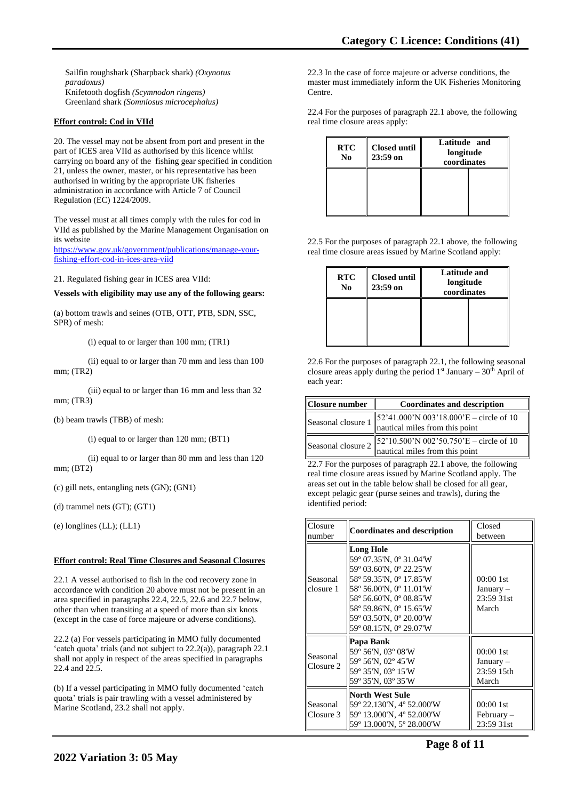Sailfin roughshark (Sharpback shark) *(Oxynotus paradoxus)* Knifetooth dogfish *(Scymnodon ringens)* Greenland shark *(Somniosus microcephalus)*

## **Effort control: Cod in VIId**

20. The vessel may not be absent from port and present in the part of ICES area VIId as authorised by this licence whilst carrying on board any of the fishing gear specified in condition 21, unless the owner, master, or his representative has been authorised in writing by the appropriate UK fisheries administration in accordance with Article 7 of Council Regulation (EC) 1224/2009.

The vessel must at all times comply with the rules for cod in VIId as published by the Marine Management Organisation on its website

[https://www.gov.uk/government/publications/manage-your](https://www.gov.uk/government/publications/manage-your-fishing-effort-cod-in-ices-area-viid)[fishing-effort-cod-in-ices-area-viid](https://www.gov.uk/government/publications/manage-your-fishing-effort-cod-in-ices-area-viid)

21. Regulated fishing gear in ICES area VIId:

**Vessels with eligibility may use any of the following gears:**

(a) bottom trawls and seines (OTB, OTT, PTB, SDN, SSC, SPR) of mesh:

(i) equal to or larger than 100 mm; (TR1)

(ii) equal to or larger than 70 mm and less than 100 mm; (TR2)

(iii) equal to or larger than 16 mm and less than 32 mm; (TR3)

(b) beam trawls (TBB) of mesh:

(i) equal to or larger than 120 mm; (BT1)

(ii) equal to or larger than 80 mm and less than 120 mm; (BT2)

(c) gill nets, entangling nets (GN); (GN1)

(d) trammel nets (GT); (GT1)

(e) longlines (LL); (LL1)

#### **Effort control: Real Time Closures and Seasonal Closures**

22.1 A vessel authorised to fish in the cod recovery zone in accordance with condition 20 above must not be present in an area specified in paragraphs 22.4, 22.5, 22.6 and 22.7 below, other than when transiting at a speed of more than six knots (except in the case of force majeure or adverse conditions).

22.2 (a) For vessels participating in MMO fully documented 'catch quota' trials (and not subject to 22.2(a)), paragraph 22.1 shall not apply in respect of the areas specified in paragraphs 22.4 and 22.5.

(b) If a vessel participating in MMO fully documented 'catch quota' trials is pair trawling with a vessel administered by Marine Scotland, 23.2 shall not apply.

22.3 In the case of force majeure or adverse conditions, the master must immediately inform the UK Fisheries Monitoring Centre.

22.4 For the purposes of paragraph 22.1 above, the following real time closure areas apply:

| <b>RTC</b><br>N <sub>0</sub> | <b>Closed until</b><br>$23:59$ on | Latitude and<br>longitude<br>coordinates |  |
|------------------------------|-----------------------------------|------------------------------------------|--|
|                              |                                   |                                          |  |

22.5 For the purposes of paragraph 22.1 above, the following real time closure areas issued by Marine Scotland apply:

| <b>RTC</b><br>N <sub>0</sub> | <b>Closed until</b><br>$23:59$ on | Latitude and<br>longitude<br>coordinates |  |
|------------------------------|-----------------------------------|------------------------------------------|--|
|                              |                                   |                                          |  |

22.6 For the purposes of paragraph 22.1, the following seasonal closure areas apply during the period  $1<sup>st</sup>$  January – 30<sup>th</sup> April of each year:

| <b>Closure number</b> | <b>Coordinates and description</b>                                                                                                                           |
|-----------------------|--------------------------------------------------------------------------------------------------------------------------------------------------------------|
|                       | Seasonal closure $1 \begin{vmatrix} 52'41.000' \text{N } 003'18.000' \text{E} - \text{circle of } 10 \\ \text{nautical miles from this point} \end{vmatrix}$ |
|                       | Seasonal closure $2 \begin{vmatrix} 52'10.500' \text{N } 002'50.750' \text{E} - \text{circle of } 10 \\ \text{nautical miles from this point} \end{vmatrix}$ |

22.7 For the purposes of paragraph 22.1 above, the following real time closure areas issued by Marine Scotland apply. The areas set out in the table below shall be closed for all gear, except pelagic gear (purse seines and trawls), during the identified period:

| Closure<br>number     | <b>Coordinates and description</b>                                                                                                                                                                                                       | Closed<br>between                              |
|-----------------------|------------------------------------------------------------------------------------------------------------------------------------------------------------------------------------------------------------------------------------------|------------------------------------------------|
| Seasonal<br>closure 1 | <b>Long Hole</b><br>59° 07.35'N, 0° 31.04'W<br>59° 03.60'N, 0° 22.25'W<br>58° 59.35'N, 0° 17.85'W<br>58° 56.00'N, 0° 11.01'W<br>58° 56.60'N, 0° 08.85'W<br>58° 59.86'N, 0° 15.65'W<br>59° 03.50′N, 0° 20.00′W<br>59° 08.15′N, 0° 29.07′W | 00:001st<br>January –<br>23:59 31st<br>March   |
| Seasonal<br>Closure 2 | Papa Bank<br>59° 56'N, 03° 08'W<br>59° 56'N, 02° 45'W<br>59° 35'N, 03° 15'W<br>59° 35'N, 03° 35'W                                                                                                                                        | 00:001st<br>$January -$<br>23:59 15th<br>March |
| Seasonal<br>Closure 3 | North West Sule<br>59° 22.130'N, 4° 52.000'W<br>59° 13.000'N, 4° 52.000'W<br>59° 13.000'N, 5° 28.000'W                                                                                                                                   | 00:001st<br>$February -$<br>23:59 31st         |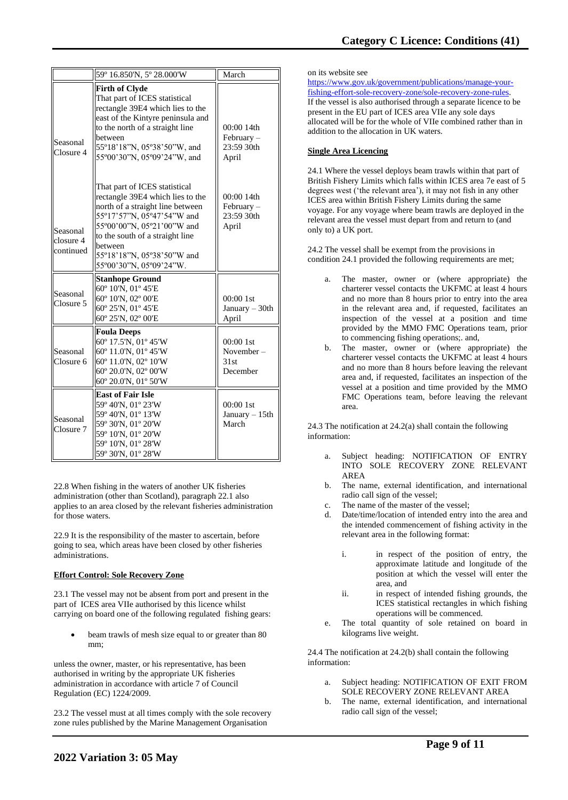|                                    | 59° 16.850'N, 5° 28.000'W                                                                                                                                                                                                                                                | March                                             |
|------------------------------------|--------------------------------------------------------------------------------------------------------------------------------------------------------------------------------------------------------------------------------------------------------------------------|---------------------------------------------------|
| Seasonal<br>Closure 4              | <b>Firth of Clyde</b><br>That part of ICES statistical<br>rectangle 39E4 which lies to the<br>east of the Kintyre peninsula and<br>to the north of a straight line<br>between<br>55°18'18"N, 05°38'50"W, and<br>55°00'30"N, 05°09'24"W, and                              | 00:00 14th<br>$February -$<br>23:59 30th<br>April |
| Seasonal<br>closure 4<br>continued | That part of ICES statistical<br>rectangle 39E4 which lies to the<br>north of a straight line between<br>55°17'57"N, 05°47'54"W and<br>55°00'00"N, 05°21'00"W and<br>to the south of a straight line<br>between<br>55°18'18"N, 05°38'50"W and<br>55°00'30"N, 05°09'24"W. | 00:00 14th<br>February-<br>23:59 30th<br>April    |
| Seasonal<br>Closure 5              | <b>Stanhope Ground</b><br>60° 10'N, 01° 45'E<br>60° 10'N, 02° 00'E<br>60° 25'N, 01° 45'E<br>60° 25'N, 02° 00'E                                                                                                                                                           | $00:001$ st<br>January $-30$ th<br>April          |
| Seasonal<br>Closure 6              | <b>Foula Deeps</b><br>60° 17.5'N, 01° 45'W<br>60° 11.0'N, 01° 45'W<br>60° 11.0'N, 02° 10'W<br>60° 20.0'N, 02° 00'W<br>60° 20.0'N, 01° 50'W                                                                                                                               | $00:001$ st<br>November-<br>31st<br>December      |
| Seasonal<br>Closure 7              | <b>East of Fair Isle</b><br>59° 40'N, 01° 23'W<br>59° 40'N, 01° 13'W<br>59° 30'N, 01° 20'W<br>59° 10'N, 01° 20'W<br>59° 10'N, 01° 28'W<br>59° 30'N, 01° 28'W                                                                                                             | $00:001$ st<br>January $-15$ th<br>March          |

22.8 When fishing in the waters of another UK fisheries administration (other than Scotland), paragraph 22.1 also applies to an area closed by the relevant fisheries administration for those waters.

22.9 It is the responsibility of the master to ascertain, before going to sea, which areas have been closed by other fisheries administrations.

## **Effort Control: Sole Recovery Zone**

23.1 The vessel may not be absent from port and present in the part of ICES area VIIe authorised by this licence whilst carrying on board one of the following regulated fishing gears:

beam trawls of mesh size equal to or greater than 80 mm;

unless the owner, master, or his representative, has been authorised in writing by the appropriate UK fisheries administration in accordance with article 7 of Council Regulation (EC) 1224/2009.

23.2 The vessel must at all times comply with the sole recovery zone rules published by the Marine Management Organisation

## on its website see

[https://www.gov.uk/government/publications/manage-your](https://www.gov.uk/government/publications/manage-your-fishing-effort-sole-recovery-zone/sole-recovery-zone-rules)[fishing-effort-sole-recovery-zone/sole-recovery-zone-rules.](https://www.gov.uk/government/publications/manage-your-fishing-effort-sole-recovery-zone/sole-recovery-zone-rules) If the vessel is also authorised through a separate licence to be present in the EU part of ICES area VIIe any sole days allocated will be for the whole of VIIe combined rather than in addition to the allocation in UK waters.

## **Single Area Licencing**

24.1 Where the vessel deploys beam trawls within that part of British Fishery Limits which falls within ICES area 7e east of 5 degrees west ('the relevant area'), it may not fish in any other ICES area within British Fishery Limits during the same voyage. For any voyage where beam trawls are deployed in the relevant area the vessel must depart from and return to (and only to) a UK port.

24.2 The vessel shall be exempt from the provisions in condition 24.1 provided the following requirements are met;

- a. The master, owner or (where appropriate) the charterer vessel contacts the UKFMC at least 4 hours and no more than 8 hours prior to entry into the area in the relevant area and, if requested, facilitates an inspection of the vessel at a position and time provided by the MMO FMC Operations team, prior to commencing fishing operations;. and,
- b. The master, owner or (where appropriate) the charterer vessel contacts the UKFMC at least 4 hours and no more than 8 hours before leaving the relevant area and, if requested, facilitates an inspection of the vessel at a position and time provided by the MMO FMC Operations team, before leaving the relevant area.

24.3 The notification at 24.2(a) shall contain the following information:

- Subject heading: NOTIFICATION OF ENTRY INTO SOLE RECOVERY ZONE RELEVANT AREA
- b. The name, external identification, and international radio call sign of the vessel;
- The name of the master of the vessel;
- Date/time/location of intended entry into the area and the intended commencement of fishing activity in the relevant area in the following format:
	- i. in respect of the position of entry, the approximate latitude and longitude of the position at which the vessel will enter the area, and
	- ii. in respect of intended fishing grounds, the ICES statistical rectangles in which fishing operations will be commenced.
- e. The total quantity of sole retained on board in kilograms live weight.

24.4 The notification at 24.2(b) shall contain the following information:

- Subject heading: NOTIFICATION OF EXIT FROM SOLE RECOVERY ZONE RELEVANT AREA
- b. The name, external identification, and international radio call sign of the vessel;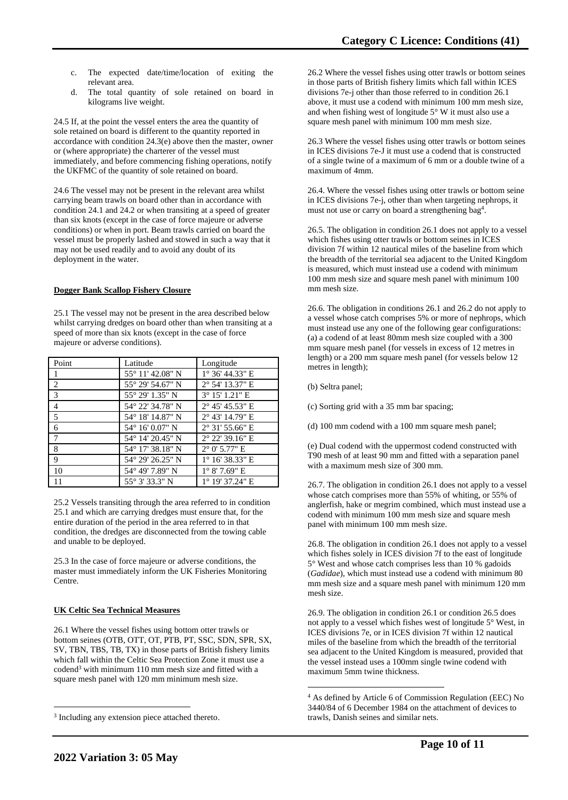- c. The expected date/time/location of exiting the relevant area.
- d. The total quantity of sole retained on board in kilograms live weight.

24.5 If, at the point the vessel enters the area the quantity of sole retained on board is different to the quantity reported in accordance with condition 24.3(e) above then the master, owner or (where appropriate) the charterer of the vessel must immediately, and before commencing fishing operations, notify the UKFMC of the quantity of sole retained on board.

24.6 The vessel may not be present in the relevant area whilst carrying beam trawls on board other than in accordance with condition 24.1 and 24.2 or when transiting at a speed of greater than six knots (except in the case of force majeure or adverse conditions) or when in port. Beam trawls carried on board the vessel must be properly lashed and stowed in such a way that it may not be used readily and to avoid any doubt of its deployment in the water.

## **Dogger Bank Scallop Fishery Closure**

25.1 The vessel may not be present in the area described below whilst carrying dredges on board other than when transiting at a speed of more than six knots (except in the case of force majeure or adverse conditions).

| Point                   | Latitude                  | Longitude                |
|-------------------------|---------------------------|--------------------------|
|                         | 55° 11′ 42.08″ N          | $1^{\circ}$ 36' 44.33" E |
| <sup>2</sup>            | 55° 29′ 54.67″ N          | 2° 54' 13.37" E          |
| $\overline{\mathbf{3}}$ | 55° 29′ 1.35″ N           | 3° 15' 1.21" E           |
| $\overline{4}$          | 54° 22′ 34.78″ N          | $2^{\circ}$ 45' 45.53" E |
| 5                       | 54° 18′ 14.87″ N          | $2^{\circ}$ 43' 14.79" E |
| 6                       | $54^{\circ}$ 16' 0.07" N  | $2^{\circ}$ 31' 55.66" E |
| $\overline{7}$          | $54^{\circ}$ 14' 20.45" N | $2^{\circ}$ 22' 39.16" E |
| 8                       | 54° 17′ 38.18″ N          | $2^{\circ}$ 0' 5.77" E   |
| 9                       | 54° 29′ 26.25″ N          | $1^{\circ}$ 16' 38.33" E |
| 10                      | 54° 49' 7.89" N           | $1^{\circ}$ 8' 7.69" E   |
| 11                      | 55° 3′ 33.3″ N            | 1° 19' 37.24" E          |

25.2 Vessels transiting through the area referred to in condition 25.1 and which are carrying dredges must ensure that, for the entire duration of the period in the area referred to in that condition, the dredges are disconnected from the towing cable and unable to be deployed.

25.3 In the case of force majeure or adverse conditions, the master must immediately inform the UK Fisheries Monitoring Centre.

## **UK Celtic Sea Technical Measures**

26.1 Where the vessel fishes using bottom otter trawls or bottom seines (OTB, OTT, OT, PTB, PT, SSC, SDN, SPR, SX, SV, TBN, TBS, TB, TX) in those parts of British fishery limits which fall within the Celtic Sea Protection Zone it must use a codend<sup>3</sup> with minimum 110 mm mesh size and fitted with a square mesh panel with 120 mm minimum mesh size.

26.2 Where the vessel fishes using otter trawls or bottom seines in those parts of British fishery limits which fall within ICES divisions 7e-j other than those referred to in condition 26.1 above, it must use a codend with minimum 100 mm mesh size, and when fishing west of longitude  $5^{\circ}$  W it must also use a square mesh panel with minimum 100 mm mesh size.

26.3 Where the vessel fishes using otter trawls or bottom seines in ICES divisions 7e-J it must use a codend that is constructed of a single twine of a maximum of 6 mm or a double twine of a maximum of 4mm.

26.4. Where the vessel fishes using otter trawls or bottom seine in ICES divisions 7e-j, other than when targeting nephrops, it must not use or carry on board a strengthening bag<sup>4</sup>.

26.5. The obligation in condition 26.1 does not apply to a vessel which fishes using otter trawls or bottom seines in ICES division 7f within 12 nautical miles of the baseline from which the breadth of the territorial sea adjacent to the United Kingdom is measured, which must instead use a codend with minimum 100 mm mesh size and square mesh panel with minimum 100 mm mesh size.

26.6. The obligation in conditions 26.1 and 26.2 do not apply to a vessel whose catch comprises 5% or more of nephrops, which must instead use any one of the following gear configurations: (a) a codend of at least 80mm mesh size coupled with a 300 mm square mesh panel (for vessels in excess of 12 metres in length) or a 200 mm square mesh panel (for vessels below 12 metres in length);

- (b) Seltra panel;
- (c) Sorting grid with a 35 mm bar spacing;
- (d) 100 mm codend with a 100 mm square mesh panel;

(e) Dual codend with the uppermost codend constructed with T90 mesh of at least 90 mm and fitted with a separation panel with a maximum mesh size of 300 mm.

26.7. The obligation in condition 26.1 does not apply to a vessel whose catch comprises more than 55% of whiting, or 55% of anglerfish, hake or megrim combined, which must instead use a codend with minimum 100 mm mesh size and square mesh panel with minimum 100 mm mesh size.

26.8. The obligation in condition 26.1 does not apply to a vessel which fishes solely in ICES division 7f to the east of longitude 5° West and whose catch comprises less than 10 % gadoids (*Gadidae*), which must instead use a codend with minimum 80 mm mesh size and a square mesh panel with minimum 120 mm mesh size.

26.9. The obligation in condition 26.1 or condition 26.5 does not apply to a vessel which fishes west of longitude 5° West, in ICES divisions 7e, or in ICES division 7f within 12 nautical miles of the baseline from which the breadth of the territorial sea adjacent to the United Kingdom is measured, provided that the vessel instead uses a 100mm single twine codend with maximum 5mm twine thickness.

<sup>&</sup>lt;sup>3</sup> Including any extension piece attached thereto.

<sup>4</sup> As defined by Article 6 of Commission Regulation (EEC) No 3440/84 of 6 December 1984 on the attachment of devices to trawls, Danish seines and similar nets.